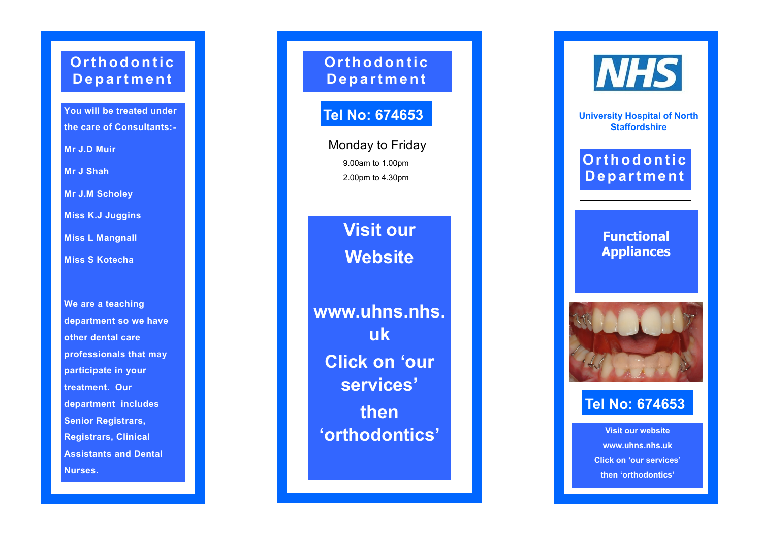## **Or t h o d o n t i c D e p a r t m e n t**

**You will be treated under the care of Consultants: -**

**Mr J.D Muir**

**Mr J Shah**

**Mr J.M Scholey**

**Miss K.J Juggins**

**Miss L Mangnall**

**Miss S Kotecha**

**We are a teaching department so we have other dental care professionals that may participate in your treatment. Our department includes Senior Registrars, Registrars, Clinical Assistants and Dental Nurses.**

**Or t h o d o n t i c D e p a r t m e n t**

# **Tel No: 674653**

Monday to Friday 9.00am to 1.00pm 2.00pm to 4.30pm

> **Visit our Website**

**www.uhns.nhs. uk Click on 'our services' then 'orthodontics'**



**University Hospital of North Staffordshire**

## **Orthodontic D e p a r t m e n t**

**Functional Appliances**



### **Tel No: 674653**

**Visit our website www.uhns.nhs.uk Click on 'our services' then 'orthodontics'**